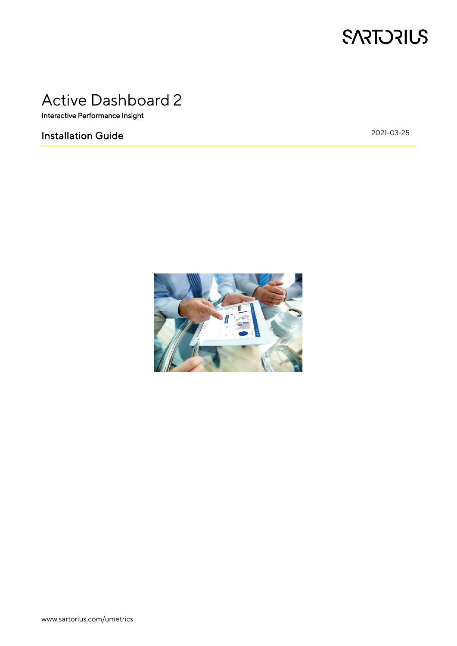

# Active Dashboard 2

Interactive Performance Insight

# Installation Guide

2021-03-25

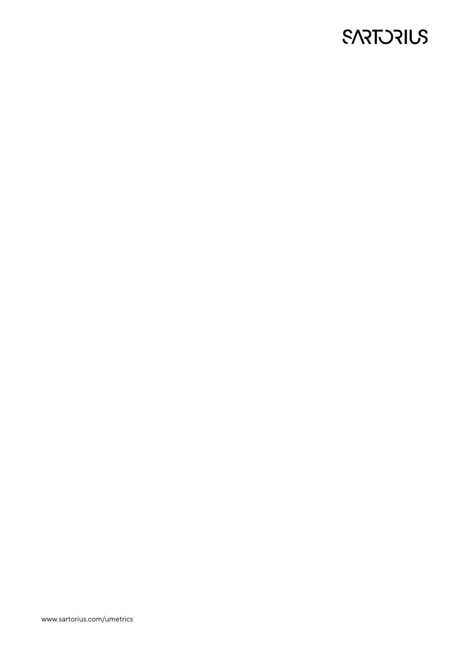# **SARTORIUS**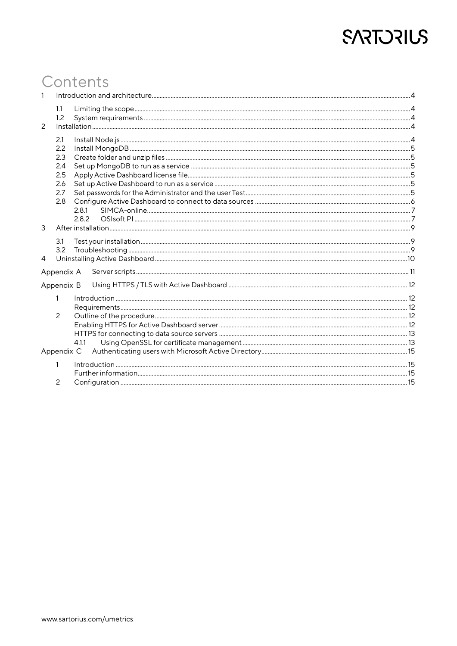# **SARTORIUS**

# Contents

| $\mathbf{1}$   |                   |                |  |  |
|----------------|-------------------|----------------|--|--|
|                | 1.1<br>1.2        |                |  |  |
| $\overline{c}$ |                   |                |  |  |
|                | 2.1<br>2.2<br>2.3 |                |  |  |
|                | 2.4               |                |  |  |
|                | 2.5               |                |  |  |
|                | 2.6               |                |  |  |
|                | 2.7               |                |  |  |
|                | 2.8               |                |  |  |
|                |                   | 2.8.1<br>2.8.2 |  |  |
| 3              |                   |                |  |  |
|                |                   |                |  |  |
|                | 3.1               |                |  |  |
| 4              | 3.2               |                |  |  |
|                |                   |                |  |  |
| Appendix A     |                   |                |  |  |
|                | Appendix B        |                |  |  |
|                | 1                 |                |  |  |
|                |                   |                |  |  |
|                | 2                 |                |  |  |
|                |                   |                |  |  |
|                |                   |                |  |  |
|                |                   | 4.1.1          |  |  |
|                | Appendix C        |                |  |  |
|                | 1                 |                |  |  |
|                |                   |                |  |  |
|                | 2                 |                |  |  |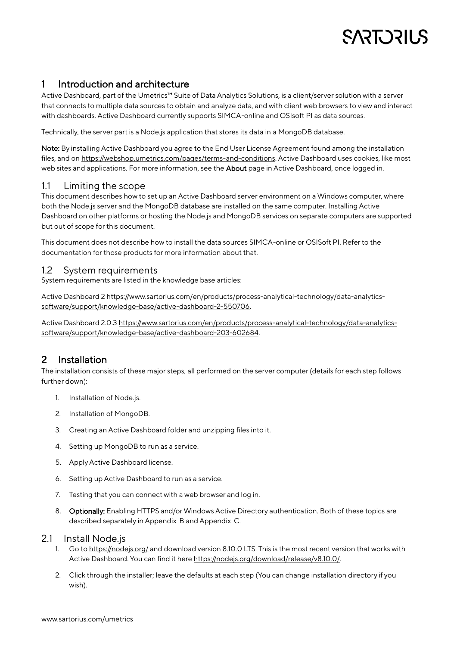# <span id="page-3-0"></span>1 Introduction and architecture

Active Dashboard, part of the Umetrics™ Suite of Data Analytics Solutions, is a client/server solution with a server that connects to multiple data sources to obtain and analyze data, and with client web browsers to view and interact with dashboards. Active Dashboard currently supports SIMCA-online and OSIsoft PI as data sources.

Technically, the server part is a Node.js application that stores its data in a MongoDB database.

Note: By installing Active Dashboard you agree to the End User License Agreement found among the installation files, and on [https://webshop.umetrics.com/pages/terms-and-conditions.](https://webshop.umetrics.com/pages/terms-and-conditions) Active Dashboard uses cookies, like most web sites and applications. For more information, see the About page in Active Dashboard, once logged in.

### <span id="page-3-1"></span>1.1 Limiting the scope

This document describes how to set up an Active Dashboard server environment on a Windows computer, where both the Node.js server and the MongoDB database are installed on the same computer. Installing Active Dashboard on other platforms or hosting the Node.js and MongoDB services on separate computers are supported but out of scope for this document.

This document does not describe how to install the data sources SIMCA-online or OSISoft PI. Refer to the documentation for those products for more information about that.

### <span id="page-3-2"></span>1.2 System requirements

System requirements are listed in the knowledge base articles:

Active Dashboard 2 [https://www.sartorius.com/en/products/process-analytical-technology/data-analytics](https://www.sartorius.com/en/products/process-analytical-technology/data-analytics-software/support/knowledge-base/active-dashboard-2-550706)[software/support/knowledge-base/active-dashboard-2-550706.](https://www.sartorius.com/en/products/process-analytical-technology/data-analytics-software/support/knowledge-base/active-dashboard-2-550706)

Active Dashboard 2.0.[3 https://www.sartorius.com/en/products/process-analytical-technology/data-analytics](https://www.sartorius.com/en/products/process-analytical-technology/data-analytics-software/support/knowledge-base/active-dashboard-203-602684)[software/support/knowledge-base/active-dashboard-203-602684.](https://www.sartorius.com/en/products/process-analytical-technology/data-analytics-software/support/knowledge-base/active-dashboard-203-602684)

# <span id="page-3-3"></span>2 Installation

The installation consists of these major steps, all performed on the server computer (details for each step follows further down):

- 1. Installation of Node.js.
- 2. Installation of MongoDB.
- 3. Creating an Active Dashboard folder and unzipping files into it.
- 4. Setting up MongoDB to run as a service.
- 5. Apply Active Dashboard license.
- 6. Setting up Active Dashboard to run as a service.
- 7. Testing that you can connect with a web browser and log in.
- 8. Optionally: Enabling HTTPS and/or Windows Active Directory authentication. Both of these topics are described separately i[n Appendix B](#page-11-0) an[d Appendix C.](#page-14-0)

#### <span id="page-3-4"></span>2.1 Install Node.js

- 1. Go to<https://nodejs.org/> and download version 8.10.0 LTS. This is the most recent version that works with Active Dashboard. You can find it her[e https://nodejs.org/download/release/v8.10.0/.](https://nodejs.org/download/release/v8.10.0/)
- 2. Click through the installer; leave the defaults at each step (You can change installation directory if you wish).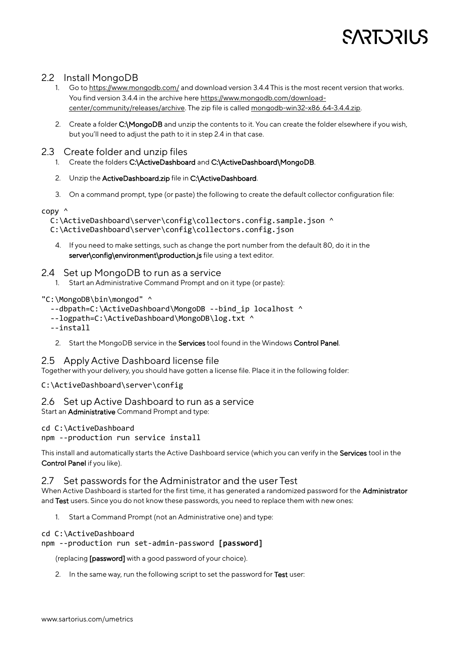## <span id="page-4-0"></span>2.2 Install MongoDB

- 1. Go to<https://www.mongodb.com/> and download version 3.4.4 This is the most recent version that works. You find version 3.4.4 in the archive her[e https://www.mongodb.com/download](https://www.mongodb.com/download-center/community/releases/archive)[center/community/releases/archive.](https://www.mongodb.com/download-center/community/releases/archive) The zip file is calle[d mongodb-win32-x86\\_64-3.4.4.zip.](https://fastdl.mongodb.org/win32/mongodb-win32-x86_64-3.4.4.zip)
- 2. Create a folder C:\MongoDB and unzip the contents to it. You can create the folder elsewhere if you wish, but you'll need to adjust the path to it in step 2.4 in that case.

## <span id="page-4-1"></span>2.3 Create folder and unzip files

- 1. Create the folders C:\ActiveDashboard and C:\ActiveDashboard\MongoDB.
- 2. Unzip the ActiveDashboard.zip file in C:\ActiveDashboard.
- 3. On a command prompt, type (or paste) the following to create the default collector configuration file:

### copy ^

C:\ActiveDashboard\server\config\collectors.config.sample.json ^

C:\ActiveDashboard\server\config\collectors.config.json

4. If you need to make settings, such as change the port number from the default 80, do it in the server\config\environment\production.js file using a text editor.

### <span id="page-4-2"></span>2.4 Set up MongoDB to run as a service

1. Start an Administrative Command Prompt and on it type (or paste):

### "C:\MongoDB\bin\mongod" ^

- --dbpath=C:\ActiveDashboard\MongoDB --bind\_ip localhost ^
- --logpath=C:\ActiveDashboard\MongoDB\log.txt ^

--install

2. Start the MongoDB service in the Services tool found in the Windows Control Panel.

## <span id="page-4-3"></span>2.5 Apply Active Dashboard license file

Together with your delivery, you should have gotten a license file. Place it in the following folder:

### C:\ActiveDashboard\server\config

### <span id="page-4-4"></span>2.6 Set up Active Dashboard to run as a service

Start an Administrative Command Prompt and type:

### cd C:\ActiveDashboard

npm --production run service install

This install and automatically starts the Active Dashboard service (which you can verify in the Services tool in the Control Panel if you like).

## <span id="page-4-5"></span>2.7 Set passwords for the Administrator and the user Test

When Active Dashboard is started for the first time, it has generated a randomized password for the Administrator and Test users. Since you do not know these passwords, you need to replace them with new ones:

1. Start a Command Prompt (not an Administrative one) and type:

#### cd C:\ActiveDashboard

### npm --production run set-admin-password **[password]**

(replacing [password] with a good password of your choice).

2. In the same way, run the following script to set the password for Test user: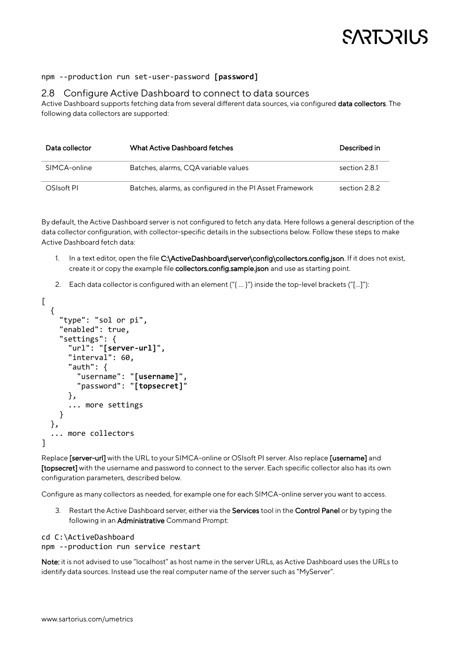#### npm --production run set-user-password **[password]**

#### <span id="page-5-0"></span>2.8 Configure Active Dashboard to connect to data sources

Active Dashboard supports fetching data from several different data sources, via configured data collectors. The following data collectors are supported:

| Data collector | <b>What Active Dashboard fetches</b>                     | Described in  |
|----------------|----------------------------------------------------------|---------------|
| SIMCA-online   | Batches, alarms, CQA variable values                     | section 2.8.1 |
| OSIsoft PI     | Batches, alarms, as configured in the PI Asset Framework | section 2.8.2 |

By default, the Active Dashboard server is not configured to fetch any data. Here follows a general description of the data collector configuration, with collector-specific details in the subsections below. Follow these steps to make Active Dashboard fetch data:

- 1. In a text editor, open the file C:\ActiveDashboard\server\config\collectors.config.json. If it does not exist, create it or copy the example file collectors.config.sample.json and use as starting point.
- 2. Each data collector is configured with an element ("{ … }") inside the top-level brackets ("[…]"):

```
\Gamma {
     "type": "sol or pi",
     "enabled": true,
     "settings": {
        "url": "[server-url]", 
        "interval": 60,
        "auth": {
          "username": "[username]",
          "password": "[topsecret]"
        },
        ... more settings
     }
   },
   ... more collectors
]
```
Replace [server-url] with the URL to your SIMCA-online or OSIsoft PI server. Also replace [username] and [topsecret] with the username and password to connect to the server. Each specific collector also has its own configuration parameters, described below.

Configure as many collectors as needed, for example one for each SIMCA-online server you want to access.

3. Restart the Active Dashboard server, either via the Services tool in the Control Panel or by typing the following in an Administrative Command Prompt:

```
cd C:\ActiveDashboard
npm --production run service restart
```
Note: it is not advised to use "localhost" as host name in the server URLs, as Active Dashboard uses the URLs to identify data sources. Instead use the real computer name of the server such as "MyServer".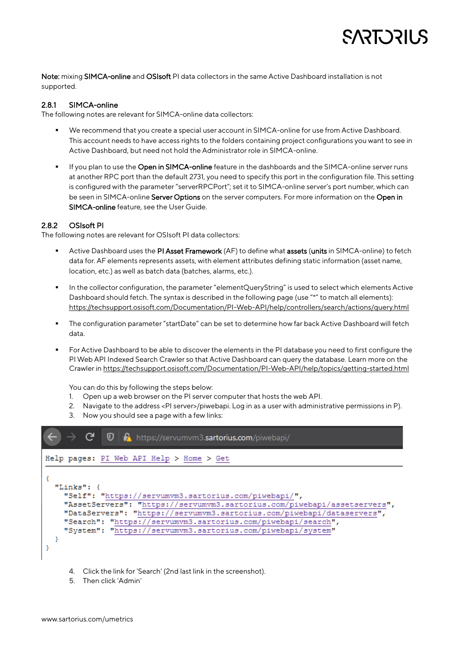Note: mixing SIMCA-online and OSIsoft PI data collectors in the same Active Dashboard installation is not supported.

#### <span id="page-6-0"></span>2.8.1 SIMCA-online

The following notes are relevant for SIMCA-online data collectors:

- We recommend that you create a special user account in SIMCA-online for use from Active Dashboard. This account needs to have access rights to the folders containing project configurations you want to see in Active Dashboard, but need not hold the Administrator role in SIMCA-online.
- If you plan to use the Open in SIMCA-online feature in the dashboards and the SIMCA-online server runs at another RPC port than the default 2731, you need to specify this port in the configuration file. This setting is configured with the parameter "serverRPCPort"; set it to SIMCA-online server's port number, which can be seen in SIMCA-online Server Options on the server computers. For more information on the Open in SIMCA-online feature, see the User Guide.

### <span id="page-6-1"></span>2.8.2 OSIsoft PI

The following notes are relevant for OSIsoft PI data collectors:

- Active Dashboard uses the PI Asset Framework (AF) to define what assets (units in SIMCA-online) to fetch data for. AF elements represents assets, with element attributes defining static information (asset name, location, etc.) as well as batch data (batches, alarms, etc.).
- In the collector configuration, the parameter "elementQueryString" is used to select which elements Active Dashboard should fetch. The syntax is described in the following page (use "\*" to match all elements): <https://techsupport.osisoft.com/Documentation/PI-Web-API/help/controllers/search/actions/query.html>
- The configuration parameter "startDate" can be set to determine how far back Active Dashboard will fetch data.
- For Active Dashboard to be able to discover the elements in the PI database you need to first configure the PI Web API Indexed Search Crawler so that Active Dashboard can query the database. Learn more on the Crawler i[n https://techsupport.osisoft.com/Documentation/PI-Web-API/help/topics/getting-started.html](https://techsupport.osisoft.com/Documentation/PI-Web-API/help/topics/getting-started.html)

You can do this by following the steps below:

- 1. Open up a web browser on the PI server computer that hosts the web API.
- 2. Navigate to the address <PI server>/piwebapi. Log in as a user with administrative permissions in P).
- 3. Now you should see a page with a few links:



- 4. Click the link for 'Search' (2nd last link in the screenshot).
- 5. Then click 'Admin'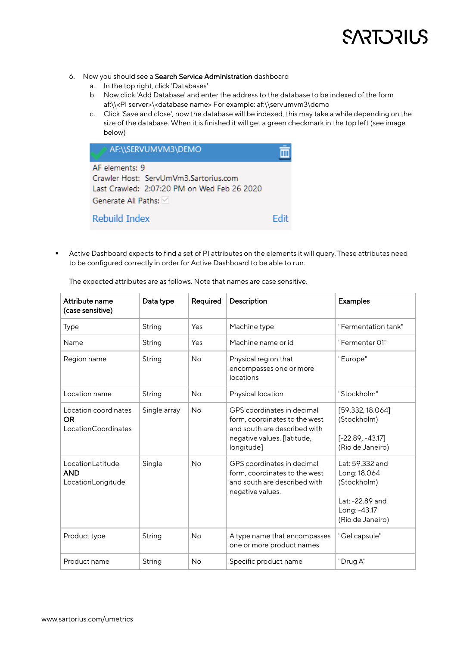

- 6. Now you should see a Search Service Administration dashboard
	- a. In the top right, click 'Databases'
	- b. Now click 'Add Database' and enter the address to the database to be indexed of the form af:\\<PI server>\<database name> For example: af:\\servumvm3\demo
	- c. Click 'Save and close', now the database will be indexed, this may take a while depending on the size of the database. When it is finished it will get a green checkmark in the top left (see image below)

| AF:\\SERVUMVM3\DEMO                         |  |  |  |  |
|---------------------------------------------|--|--|--|--|
| AF elements: 9                              |  |  |  |  |
| Crawler Host: ServUmVm3.Sartorius.com       |  |  |  |  |
| Last Crawled: 2:07:20 PM on Wed Feb 26 2020 |  |  |  |  |
| Generate All Paths:                         |  |  |  |  |
| Rebuild Index                               |  |  |  |  |

▪ Active Dashboard expects to find a set of PI attributes on the elements it will query. These attributes need to be configured correctly in order for Active Dashboard to be able to run.

| Attribute name<br>(case sensitive)                        | Data type    | Required  | Description                                                                                                                              | <b>Examples</b>                                                                                       |
|-----------------------------------------------------------|--------------|-----------|------------------------------------------------------------------------------------------------------------------------------------------|-------------------------------------------------------------------------------------------------------|
| Type                                                      | String       | Yes       | Machine type                                                                                                                             | "Fermentation tank"                                                                                   |
| Name                                                      | String       | Yes       | Machine name or id                                                                                                                       | "Fermenter 01"                                                                                        |
| Region name                                               | String       | <b>No</b> | Physical region that<br>encompasses one or more<br>locations                                                                             | "Europe"                                                                                              |
| Location name                                             | String       | No        | Physical location                                                                                                                        | "Stockholm"                                                                                           |
| Location coordinates<br><b>OR</b><br>Location Coordinates | Single array | <b>No</b> | GPS coordinates in decimal<br>form, coordinates to the west<br>and south are described with<br>negative values. [latitude,<br>longitude] | [59.332, 18.064]<br>(Stockholm)<br>$[-22.89, -43.17]$<br>(Rio de Janeiro)                             |
| LocationLatitude<br><b>AND</b><br>LocationLongitude       | Single       | <b>No</b> | GPS coordinates in decimal<br>form, coordinates to the west<br>and south are described with<br>negative values.                          | Lat: 59.332 and<br>Long: 18.064<br>(Stockholm)<br>Lat: -22.89 and<br>Long: -43.17<br>(Rio de Janeiro) |
| Product type                                              | String       | <b>No</b> | A type name that encompasses<br>one or more product names                                                                                | "Gel capsule"                                                                                         |
| Product name                                              | String       | No        | Specific product name                                                                                                                    | "Drug A"                                                                                              |

The expected attributes are as follows. Note that names are case sensitive.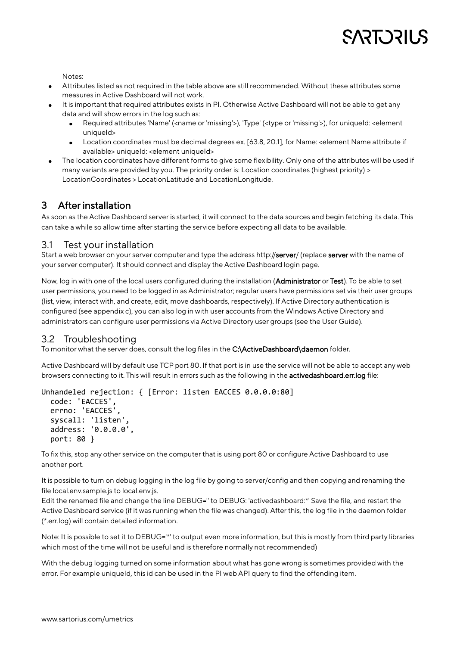Notes:

- Attributes listed as not required in the table above are still recommended. Without these attributes some measures in Active Dashboard will not work.
- It is important that required attributes exists in PI. Otherwise Active Dashboard will not be able to get any data and will show errors in the log such as:
	- Required attributes 'Name' (<name or 'missing'>), 'Type' (<type or 'missing'>), for uniqueId: <element uniqueId>
	- Location coordinates must be decimal degrees ex. [63.8, 20.1], for Name: <element Name attribute if available> uniqueId: <element uniqueId>
- The location coordinates have different forms to give some flexibility. Only one of the attributes will be used if many variants are provided by you. The priority order is: Location coordinates (highest priority) > LocationCoordinates > LocationLatitude and LocationLongitude.

# <span id="page-8-0"></span>3 After installation

As soon as the Active Dashboard server is started, it will connect to the data sources and begin fetching its data. This can take a while so allow time after starting the service before expecting all data to be available.

## <span id="page-8-1"></span>3.1 Test your installation

Start a web browser on your server computer and type the address http://server/ (replace server with the name of your server computer). It should connect and display the Active Dashboard login page.

Now, log in with one of the local users configured during the installation (Administrator or Test). To be able to set user permissions, you need to be logged in as Administrator; regular users have permissions set via their user groups (list, view, interact with, and create, edit, move dashboards, respectively). If Active Directory authentication is configured (see appendix c), you can also log in with user accounts from the Windows Active Directory and administrators can configure user permissions via Active Directory user groups (see the User Guide).

# <span id="page-8-2"></span>3.2 Troubleshooting

To monitor what the server does, consult the log files in the C:\ActiveDashboard\daemon folder.

Active Dashboard will by default use TCP port 80. If that port is in use the service will not be able to accept any web browsers connecting to it. This will result in errors such as the following in the activedashboard.err.log file:

```
Unhandeled rejection: { [Error: listen EACCES 0.0.0.0:80]
   code: 'EACCES',
   errno: 'EACCES',
   syscall: 'listen',
   address: '0.0.0.0',
   port: 80 }
```
To fix this, stop any other service on the computer that is using port 80 or configure Active Dashboard to use another port.

It is possible to turn on debug logging in the log file by going to server/config and then copying and renaming the file local.env.sample.js to local.env.js.

Edit the renamed file and change the line DEBUG=" to DEBUG: 'activedashboard:\*' Save the file, and restart the Active Dashboard service (if it was running when the file was changed). After this, the log file in the daemon folder (\*.err.log) will contain detailed information.

Note: It is possible to set it to DEBUG='\*' to output even more information, but this is mostly from third party libraries which most of the time will not be useful and is therefore normally not recommended)

With the debug logging turned on some information about what has gone wrong is sometimes provided with the error. For example uniqueld, this id can be used in the PI web API query to find the offending item.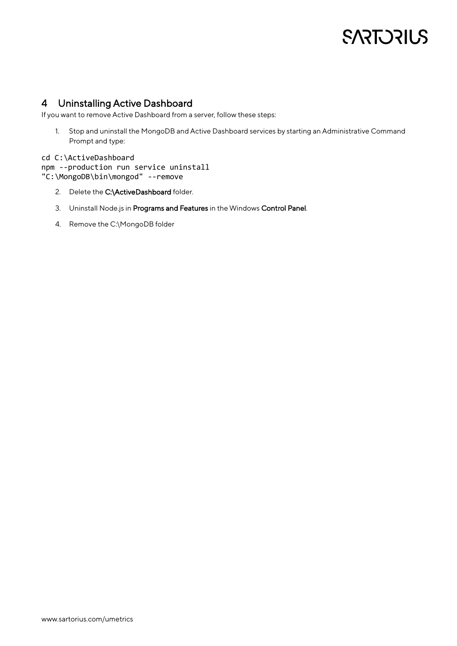# <span id="page-9-0"></span>4 Uninstalling Active Dashboard

If you want to remove Active Dashboard from a server, follow these steps:

1. Stop and uninstall the MongoDB and Active Dashboard services by starting an Administrative Command Prompt and type:

#### cd C:\ActiveDashboard

npm --production run service uninstall "C:\MongoDB\bin\mongod" --remove

- 2. Delete the C:\ActiveDashboard folder.
- 3. Uninstall Node.js in Programs and Features in the Windows Control Panel.
- 4. Remove the C:\MongoDB folder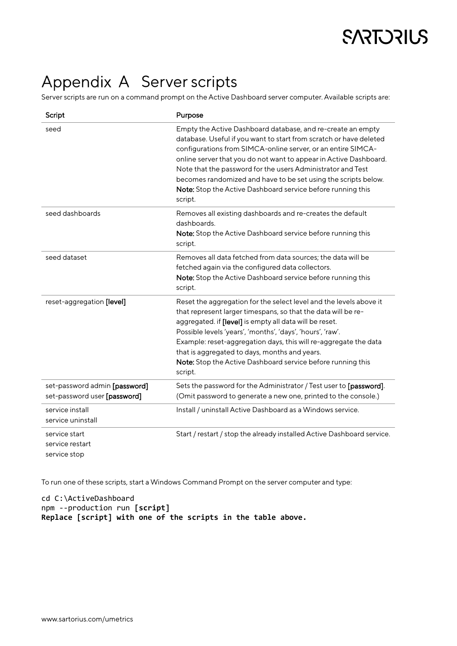# <span id="page-10-0"></span>Appendix A Server scripts

Server scripts are run on a command prompt on the Active Dashboard server computer. Available scripts are:

| Script                                                        | Purpose                                                                                                                                                                                                                                                                                                                                                                                                                                                                           |
|---------------------------------------------------------------|-----------------------------------------------------------------------------------------------------------------------------------------------------------------------------------------------------------------------------------------------------------------------------------------------------------------------------------------------------------------------------------------------------------------------------------------------------------------------------------|
| seed                                                          | Empty the Active Dashboard database, and re-create an empty<br>database. Useful if you want to start from scratch or have deleted<br>configurations from SIMCA-online server, or an entire SIMCA-<br>online server that you do not want to appear in Active Dashboard.<br>Note that the password for the users Administrator and Test<br>becomes randomized and have to be set using the scripts below.<br>Note: Stop the Active Dashboard service before running this<br>script. |
| seed dashboards                                               | Removes all existing dashboards and re-creates the default<br>dashboards.<br>Note: Stop the Active Dashboard service before running this<br>script.                                                                                                                                                                                                                                                                                                                               |
| seed dataset                                                  | Removes all data fetched from data sources; the data will be<br>fetched again via the configured data collectors.<br>Note: Stop the Active Dashboard service before running this<br>script.                                                                                                                                                                                                                                                                                       |
| reset-aggregation [level]                                     | Reset the aggregation for the select level and the levels above it<br>that represent larger timespans, so that the data will be re-<br>aggregated. if [level] is empty all data will be reset.<br>Possible levels 'years', 'months', 'days', 'hours', 'raw'.<br>Example: reset-aggregation days, this will re-aggregate the data<br>that is aggregated to days, months and years.<br>Note: Stop the Active Dashboard service before running this<br>script.                       |
| set-password admin [password]<br>set-password user [password] | Sets the password for the Administrator / Test user to [password].<br>(Omit password to generate a new one, printed to the console.)                                                                                                                                                                                                                                                                                                                                              |
| service install<br>service uninstall                          | Install / uninstall Active Dashboard as a Windows service.                                                                                                                                                                                                                                                                                                                                                                                                                        |
| service start<br>service restart<br>service stop              | Start / restart / stop the already installed Active Dashboard service.                                                                                                                                                                                                                                                                                                                                                                                                            |

To run one of these scripts, start a Windows Command Prompt on the server computer and type:

cd C:\ActiveDashboard npm --production run **[script] Replace [script] with one of the scripts in the table above.**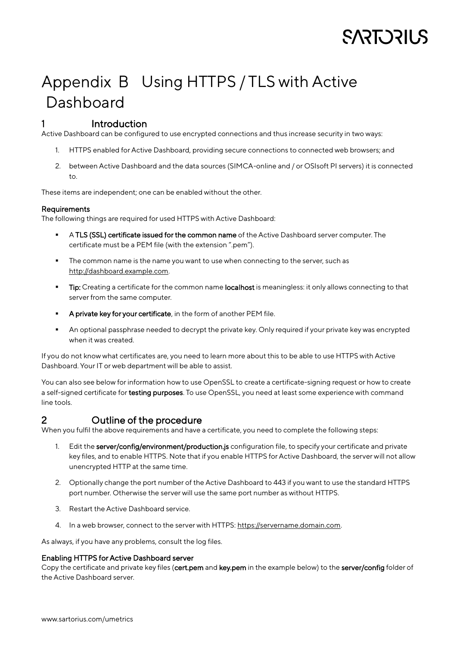# <span id="page-11-0"></span>Appendix B Using HTTPS / TLS with Active Dashboard

## <span id="page-11-1"></span>1 Introduction

Active Dashboard can be configured to use encrypted connections and thus increase security in two ways:

- 1. HTTPS enabled for Active Dashboard, providing secure connections to connected web browsers; and
- 2. between Active Dashboard and the data sources (SIMCA-online and / or OSIsoft PI servers) it is connected to.

These items are independent; one can be enabled without the other.

#### <span id="page-11-2"></span>Requirements

The following things are required for used HTTPS with Active Dashboard:

- A TLS (SSL) certificate issued for the common name of the Active Dashboard server computer. The certificate must be a PEM file (with the extension ".pem").
- **•** The common name is the name you want to use when connecting to the server, such as [http://dashboard.example.com.](http://dashboard.example.com/)
- **Tip:** Creating a certificate for the common name **localhost** is meaningless: it only allows connecting to that server from the same computer.
- **E** A private key for your certificate, in the form of another PEM file.
- An optional passphrase needed to decrypt the private key. Only required if your private key was encrypted when it was created.

If you do not know what certificates are, you need to learn more about this to be able to use HTTPS with Active Dashboard. Your IT or web department will be able to assist.

You can also see below for information how to use OpenSSL to create a certificate-signing request or how to create a self-signed certificate for testing purposes. To use OpenSSL, you need at least some experience with command line tools.

## <span id="page-11-3"></span>2 Outline of the procedure

When you fulfil the above requirements and have a certificate, you need to complete the following steps:

- 1. Edit the server/config/environment/production.js configuration file, to specify your certificate and private key files, and to enable HTTPS. Note that if you enable HTTPS for Active Dashboard, the server will not allow unencrypted HTTP at the same time.
- 2. Optionally change the port number of the Active Dashboard to 443 if you want to use the standard HTTPS port number. Otherwise the server will use the same port number as without HTTPS.
- 3. Restart the Active Dashboard service.
- 4. In a web browser, connect to the server with HTTPS[: https://servername.domain.com.](https://servername.domain.com/)

As always, if you have any problems, consult the log files.

#### <span id="page-11-4"></span>Enabling HTTPS for Active Dashboard server

Copy the certificate and private key files (cert.pem and key.pem in the example below) to the server/config folder of the Active Dashboard server.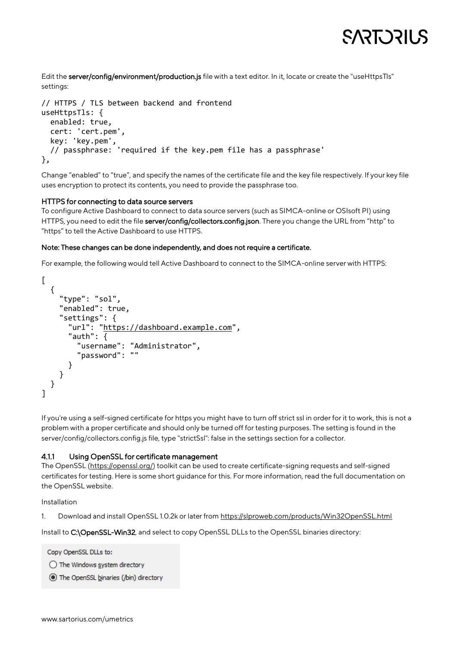Edit the server/config/environment/production.js file with a text editor. In it, locate or create the "useHttpsTls" settings:

```
// HTTPS / TLS between backend and frontend
useHttpsTls: {
   enabled: true,
   cert: 'cert.pem',
   key: 'key.pem',
   // passphrase: 'required if the key.pem file has a passphrase'
},
```
Change "enabled" to "true", and specify the names of the certificate file and the key file respectively. If your key file uses encryption to protect its contents, you need to provide the passphrase too.

#### <span id="page-12-0"></span>HTTPS for connecting to data source servers

To configure Active Dashboard to connect to data source servers (such as SIMCA-online or OSIsoft PI) using HTTPS, you need to edit the file server/config/collectors.config.json. There you change the URL from "http" to "https" to tell the Active Dashboard to use HTTPS.

#### Note: These changes can be done independently, and does not require a certificate.

For example, the following would tell Active Dashboard to connect to the SIMCA-online server with HTTPS:

```
\lceil {
     "type": "sol",
     "enabled": true,
     "settings": {
        "url": "https://dashboard.example.com",
        "auth": {
          "username": "Administrator",
          "password": ""
       }
     }
   }
]
```
If you're using a self-signed certificate for https you might have to turn off strict ssl in order for it to work, this is not a problem with a proper certificate and should only be turned off for testing purposes. The setting is found in the server/config/collectors.config.js file, type "strictSsl": false in the settings section for a collector.

#### <span id="page-12-1"></span>4.1.1 Using OpenSSL for certificate management

The OpenSSL [\(https://openssl.org/\)](https://openssl.org/) toolkit can be used to create certificate-signing requests and self-signed certificates for testing. Here is some short guidance for this. For more information, read the full documentation on the OpenSSL website.

Installation

1. Download and install OpenSSL 1.0.2k or later fro[m https://slproweb.com/products/Win32OpenSSL.html](https://slproweb.com/products/Win32OpenSSL.html)

Install to C:\OpenSSL-Win32, and select to copy OpenSSL DLLs to the OpenSSL binaries directory:

Copy OpenSSL DLLs to:

◯ The Windows system directory

The OpenSSL binaries (/bin) directory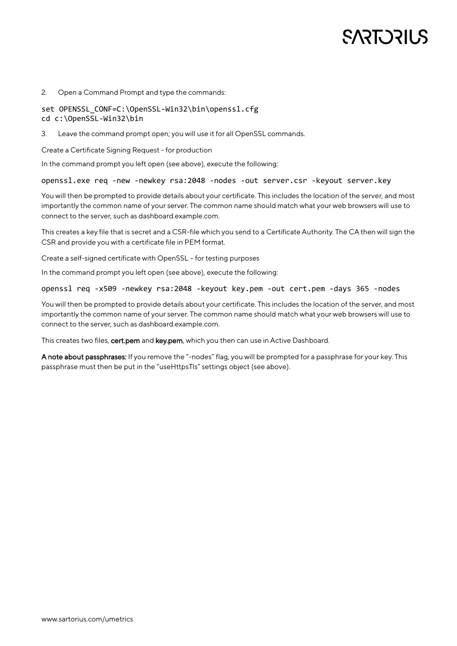# **SARE DRILS**

#### 2. Open a Command Prompt and type the commands:

#### set OPENSSL CONF=C:\OpenSSL-Win32\bin\openssl.cfg cd c:\OpenSSL-Win32\bin

3. Leave the command prompt open; you will use it for all OpenSSL commands.

Create a Certificate Signing Request - for production

In the command prompt you left open (see above), execute the following:

openssl.exe req -new -newkey rsa:2048 -nodes -out server.csr -keyout server.key

You will then be prompted to provide details about your certificate. This includes the location of the server, and most importantly the common name of your server. The common name should match what your web browsers will use to connect to the server, such as dashboard.example.com.

This creates a key file that is secret and a CSR-file which you send to a Certificate Authority. The CA then will sign the CSR and provide you with a certificate file in PEM format.

Create a self-signed certificate with OpenSSL – for testing purposes

In the command prompt you left open (see above), execute the following:

#### openssl req -x509 -newkey rsa:2048 -keyout key.pem -out cert.pem -days 365 -nodes

You will then be prompted to provide details about your certificate. This includes the location of the server, and most importantly the common name of your server. The common name should match what your web browsers will use to connect to the server, such as dashboard.example.com.

This creates two files, cert.pem and key.pem, which you then can use in Active Dashboard.

A note about passphrases: If you remove the "-nodes" flag, you will be prompted for a passphrase for your key. This passphrase must then be put in the "useHttpsTls" settings object (see above).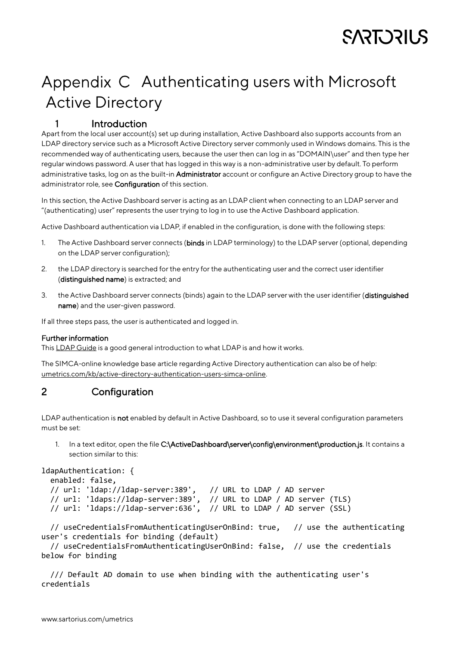# <span id="page-14-0"></span>Appendix C Authenticating users with Microsoft Active Directory

# <span id="page-14-1"></span>1 Introduction

Apart from the local user account(s) set up during installation, Active Dashboard also supports accounts from an LDAP directory service such as a Microsoft Active Directory server commonly used in Windows domains. This is the recommended way of authenticating users, because the user then can log in as "DOMAIN\user" and then type her regular windows password. A user that has logged in this way is a non-administrative user by default. To perform administrative tasks, log on as the built-in **Administrator** account or configure an Active Directory group to have the administrator role, see **Configuration** of this section.

In this section, the Active Dashboard server is acting as an LDAP client when connecting to an LDAP server and "(authenticating) user" represents the user trying to log in to use the Active Dashboard application.

Active Dashboard authentication via LDAP, if enabled in the configuration, is done with the following steps:

- 1. The Active Dashboard server connects (binds in LDAP terminology) to the LDAP server (optional, depending on the LDAP server configuration);
- 2. the LDAP directory is searched for the entry for the authenticating user and the correct user identifier (distinguished name) is extracted; and
- 3. the Active Dashboard server connects (binds) again to the LDAP server with the user identifier (distinguished name) and the user-given password.

If all three steps pass, the user is authenticated and logged in.

#### <span id="page-14-2"></span>Further information

This [LDAP Guide](http://ldapjs.org/guide.html) is a good general introduction to what LDAP is and how it works.

The SIMCA-online knowledge base article regarding Active Directory authentication can also be of help: [umetrics.com/kb/active-directory-authentication-users-simca-online.](http://www.umetrics.com/kb/active-directory-authentication-users-simca-online)

# <span id="page-14-3"></span>2 Configuration

LDAP authentication is not enabled by default in Active Dashboard, so to use it several configuration parameters must be set:

1. In a text editor, open the file C:\ActiveDashboard\server\config\environment\production.js. It contains a section similar to this:

```
ldapAuthentication: {
```

```
 enabled: false,
```
 // url: 'ldap://ldap-server:389', // URL to LDAP / AD server // url: 'ldaps://ldap-server:389', // URL to LDAP / AD server (TLS) // url: 'ldaps://ldap-server:636', // URL to LDAP / AD server (SSL)

 // useCredentialsFromAuthenticatingUserOnBind: true, // use the authenticating user's credentials for binding (default)

 // useCredentialsFromAuthenticatingUserOnBind: false, // use the credentials below for binding

 /// Default AD domain to use when binding with the authenticating user's credentials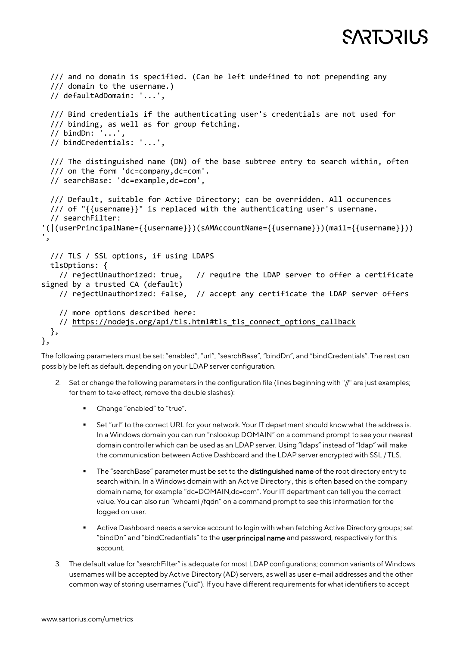```
SART DRILS
 /// and no domain is specified. (Can be left undefined to not prepending any
 /// domain to the username.)
 // defaultAdDomain: '...',
 /// Bind credentials if the authenticating user's credentials are not used for
 /// binding, as well as for group fetching.
 // bindDn: '...',
 // bindCredentials: '...',
 /// The distinguished name (DN) of the base subtree entry to search within, often
 /// on the form 'dc=company,dc=com'.
 // searchBase: 'dc=example,dc=com',
 /// Default, suitable for Active Directory; can be overridden. All occurences
                                 // require the LDAP server to offer a certificate
```

```
 /// of "{{username}}" is replaced with the authenticating user's username.
   // searchFilter: 
'(|(userPrincipalName={{username}})(sAMAccountName={{username}})(mail={{username}}))
',
   /// TLS / SSL options, if using LDAPS
  tlsOptions: {<br>// rejectUnauthorized: true.
signed by a trusted CA (default)
     // rejectUnauthorized: false, // accept any certificate the LDAP server offers
     // more options described here:
     https://nodejs.org/api/tls.html#tls_tls_connect_options_callback
   },
},
```
The following parameters must be set: "enabled", "url", "searchBase", "bindDn", and "bindCredentials". The rest can possibly be left as default, depending on your LDAP server configuration.

- 2. Set or change the following parameters in the configuration file (lines beginning with "//" are just examples; for them to take effect, remove the double slashes):
	- Change "enabled" to "true".
	- Set "url" to the correct URL for your network. Your IT department should know what the address is. In a Windows domain you can run "nslookup DOMAIN" on a command prompt to see your nearest domain controller which can be used as an LDAP server. Using "ldaps" instead of "ldap" will make the communication between Active Dashboard and the LDAP server encrypted with SSL / TLS.
	- The "searchBase" parameter must be set to the distinguished name of the root directory entry to search within. In a Windows domain with an Active Directory , this is often based on the company domain name, for example "dc=DOMAIN,dc=com". Your IT department can tell you the correct value. You can also run "whoami /fqdn" on a command prompt to see this information for the logged on user.
	- Active Dashboard needs a service account to login with when fetching Active Directory groups; set "bindDn" and "bindCredentials" to the user principal name and password, respectively for this account.
- 3. The default value for "searchFilter" is adequate for most LDAP configurations; common variants of Windows usernames will be accepted by Active Directory (AD) servers, as well as user e-mail addresses and the other common way of storing usernames ("uid"). If you have different requirements for what identifiers to accept